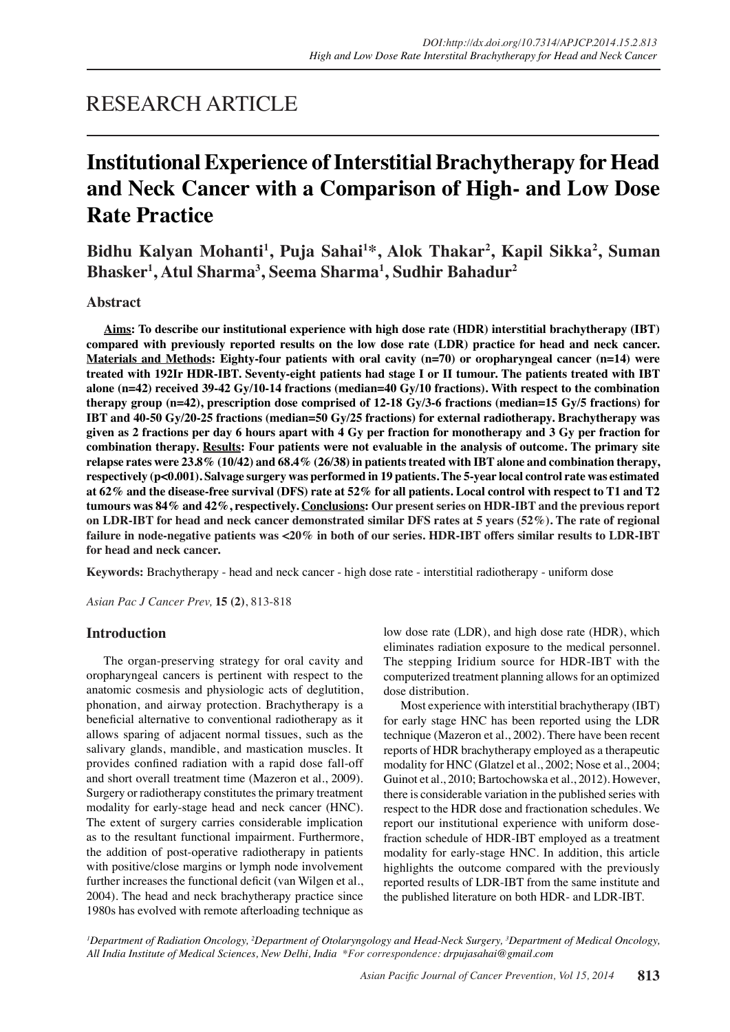## RESEARCH ARTICLE

# **Institutional Experience of Interstitial Brachytherapy for Head and Neck Cancer with a Comparison of High- and Low Dose Rate Practice**

**Bidhu Kalyan Mohanti1 , Puja Sahai1 \*, Alok Thakar2 , Kapil Sikka2 , Suman Bhasker1 , Atul Sharma3 , Seema Sharma1 , Sudhir Bahadur2**

## **Abstract**

**Aims: To describe our institutional experience with high dose rate (HDR) interstitial brachytherapy (IBT) compared with previously reported results on the low dose rate (LDR) practice for head and neck cancer. Materials and Methods: Eighty-four patients with oral cavity (n=70) or oropharyngeal cancer (n=14) were treated with 192Ir HDR-IBT. Seventy-eight patients had stage I or II tumour. The patients treated with IBT alone (n=42) received 39-42 Gy/10-14 fractions (median=40 Gy/10 fractions). With respect to the combination therapy group (n=42), prescription dose comprised of 12-18 Gy/3-6 fractions (median=15 Gy/5 fractions) for IBT and 40-50 Gy/20-25 fractions (median=50 Gy/25 fractions) for external radiotherapy. Brachytherapy was given as 2 fractions per day 6 hours apart with 4 Gy per fraction for monotherapy and 3 Gy per fraction for combination therapy. Results: Four patients were not evaluable in the analysis of outcome. The primary site relapse rates were 23.8% (10/42) and 68.4% (26/38) in patients treated with IBT alone and combination therapy, respectively (p<0.001). Salvage surgery was performed in 19 patients. The 5-year local control rate was estimated at 62% and the disease-free survival (DFS) rate at 52% for all patients. Local control with respect to T1 and T2 tumours was 84% and 42%, respectively. Conclusions: Our present series on HDR-IBT and the previous report on LDR-IBT for head and neck cancer demonstrated similar DFS rates at 5 years (52%). The rate of regional failure in node-negative patients was <20% in both of our series. HDR-IBT offers similar results to LDR-IBT for head and neck cancer.**

**Keywords:** Brachytherapy - head and neck cancer - high dose rate - interstitial radiotherapy - uniform dose

*Asian Pac J Cancer Prev,* **15 (2)**, 813-818

## **Introduction**

The organ-preserving strategy for oral cavity and oropharyngeal cancers is pertinent with respect to the anatomic cosmesis and physiologic acts of deglutition, phonation, and airway protection. Brachytherapy is a beneficial alternative to conventional radiotherapy as it allows sparing of adjacent normal tissues, such as the salivary glands, mandible, and mastication muscles. It provides confined radiation with a rapid dose fall-off and short overall treatment time (Mazeron et al., 2009). Surgery or radiotherapy constitutes the primary treatment modality for early-stage head and neck cancer (HNC). The extent of surgery carries considerable implication as to the resultant functional impairment. Furthermore, the addition of post-operative radiotherapy in patients with positive/close margins or lymph node involvement further increases the functional deficit (van Wilgen et al., 2004). The head and neck brachytherapy practice since 1980s has evolved with remote afterloading technique as low dose rate (LDR), and high dose rate (HDR), which eliminates radiation exposure to the medical personnel. The stepping Iridium source for HDR-IBT with the computerized treatment planning allows for an optimized dose distribution.

Most experience with interstitial brachytherapy (IBT) for early stage HNC has been reported using the LDR technique (Mazeron et al., 2002). There have been recent reports of HDR brachytherapy employed as a therapeutic modality for HNC (Glatzel et al., 2002; Nose et al., 2004; Guinot et al., 2010; Bartochowska et al., 2012). However, there is considerable variation in the published series with respect to the HDR dose and fractionation schedules. We report our institutional experience with uniform dosefraction schedule of HDR-IBT employed as a treatment modality for early-stage HNC. In addition, this article highlights the outcome compared with the previously reported results of LDR-IBT from the same institute and the published literature on both HDR- and LDR-IBT.

<sup>1</sup>Department of Radiation Oncology, <sup>2</sup>Department of Otolaryngology and Head-Neck Surgery, <sup>3</sup>Department of Medical Oncology, *All India Institute of Medical Sciences, New Delhi, India \*For correspondence: drpujasahai@gmail.com*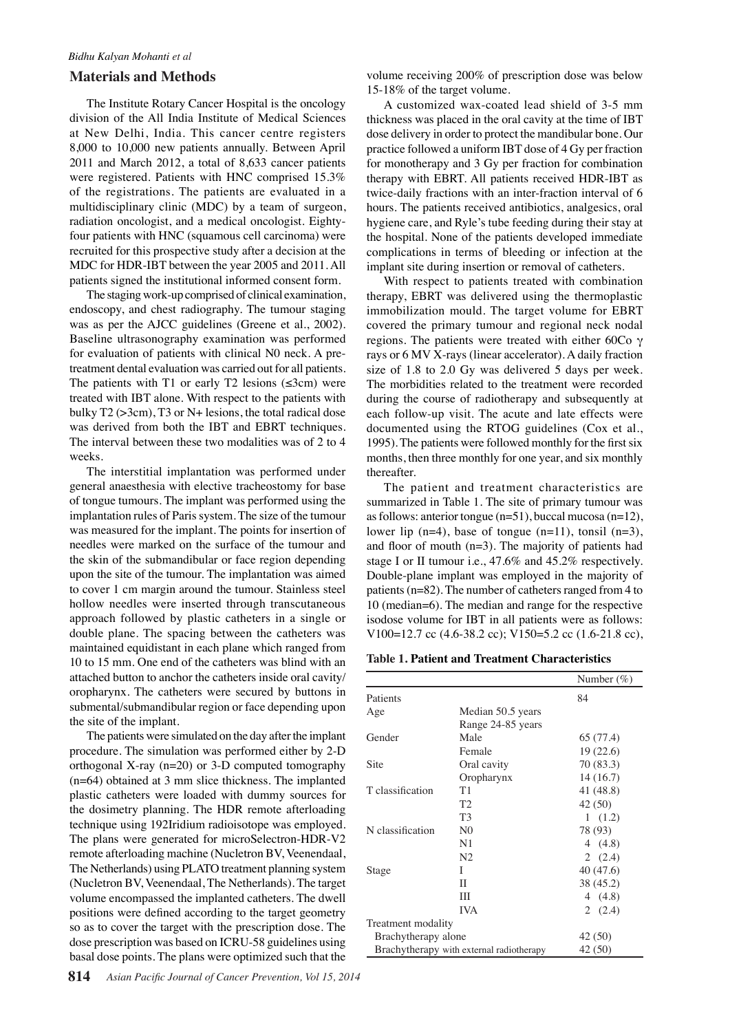#### **Materials and Methods**

The Institute Rotary Cancer Hospital is the oncology division of the All India Institute of Medical Sciences at New Delhi, India. This cancer centre registers 8,000 to 10,000 new patients annually. Between April 2011 and March 2012, a total of 8,633 cancer patients were registered. Patients with HNC comprised 15.3% of the registrations. The patients are evaluated in a multidisciplinary clinic (MDC) by a team of surgeon, radiation oncologist, and a medical oncologist. Eightyfour patients with HNC (squamous cell carcinoma) were recruited for this prospective study after a decision at the MDC for HDR-IBT between the year 2005 and 2011. All patients signed the institutional informed consent form.

The staging work-up comprised of clinical examination, endoscopy, and chest radiography. The tumour staging was as per the AJCC guidelines (Greene et al., 2002). Baseline ultrasonography examination was performed for evaluation of patients with clinical N0 neck. A pretreatment dental evaluation was carried out for all patients. The patients with T1 or early T2 lesions  $(\leq 3cm)$  were treated with IBT alone. With respect to the patients with bulky T2 (>3cm), T3 or N+ lesions, the total radical dose was derived from both the IBT and EBRT techniques. The interval between these two modalities was of 2 to 4 weeks.

The interstitial implantation was performed under general anaesthesia with elective tracheostomy for base of tongue tumours. The implant was performed using the implantation rules of Paris system. The size of the tumour was measured for the implant. The points for insertion of needles were marked on the surface of the tumour and the skin of the submandibular or face region depending upon the site of the tumour. The implantation was aimed to cover 1 cm margin around the tumour. Stainless steel hollow needles were inserted through transcutaneous approach followed by plastic catheters in a single or double plane. The spacing between the catheters was maintained equidistant in each plane which ranged from 10 to 15 mm. One end of the catheters was blind with an attached button to anchor the catheters inside oral cavity/ oropharynx. The catheters were secured by buttons in submental/submandibular region or face depending upon the site of the implant.

The patients were simulated on the day after the implant procedure. The simulation was performed either by 2-D orthogonal X-ray (n=20) or 3-D computed tomography (n=64) obtained at 3 mm slice thickness. The implanted plastic catheters were loaded with dummy sources for the dosimetry planning. The HDR remote afterloading technique using 192Iridium radioisotope was employed. The plans were generated for microSelectron-HDR-V2 remote afterloading machine (Nucletron BV, Veenendaal, The Netherlands) using PLATO treatment planning system (Nucletron BV, Veenendaal, The Netherlands). The target volume encompassed the implanted catheters. The dwell positions were defined according to the target geometry so as to cover the target with the prescription dose. The dose prescription was based on ICRU-58 guidelines using basal dose points. The plans were optimized such that the

volume receiving 200% of prescription dose was below 15-18% of the target volume.

A customized wax-coated lead shield of 3-5 mm thickness was placed in the oral cavity at the time of IBT dose delivery in order to protect the mandibular bone. Our practice followed a uniform IBT dose of 4 Gy per fraction for monotherapy and 3 Gy per fraction for combination therapy with EBRT. All patients received HDR-IBT as twice-daily fractions with an inter-fraction interval of 6 hours. The patients received antibiotics, analgesics, oral hygiene care, and Ryle's tube feeding during their stay at the hospital. None of the patients developed immediate complications in terms of bleeding or infection at the implant site during insertion or removal of catheters.

With respect to patients treated with combination therapy, EBRT was delivered using the thermoplastic immobilization mould. The target volume for EBRT covered the primary tumour and regional neck nodal regions. The patients were treated with either 60Co γ rays or 6 MV X-rays (linear accelerator). A daily fraction size of 1.8 to 2.0 Gy was delivered 5 days per week. The morbidities related to the treatment were recorded during the course of radiotherapy and subsequently at each follow-up visit. The acute and late effects were documented using the RTOG guidelines (Cox et al., 1995). The patients were followed monthly for the first six months, then three monthly for one year, and six monthly thereafter.

The patient and treatment characteristics are summarized in Table 1. The site of primary tumour was as follows: anterior tongue (n=51), buccal mucosa (n=12), lower lip (n=4), base of tongue (n=11), tonsil (n=3), and floor of mouth (n=3). The majority of patients had stage I or II tumour i.e., 47.6% and 45.2% respectively. Double-plane implant was employed in the majority of patients (n=82). The number of catheters ranged from 4 to 10 (median=6). The median and range for the respective isodose volume for IBT in all patients were as follows: V100=12.7 cc (4.6-38.2 cc); V150=5.2 cc (1.6-21.8 cc),

**Table 1. Patient and Treatment Characteristics**

|                                          |                   | Number $(\%)$ |
|------------------------------------------|-------------------|---------------|
| Patients                                 |                   | 84            |
| Age                                      | Median 50.5 years |               |
|                                          | Range 24-85 years |               |
| Gender                                   | Male              | 65 (77.4)     |
|                                          | Female            | 19(22.6)      |
| Site                                     | Oral cavity       | 70 (83.3)     |
|                                          | Oropharynx        | 14 (16.7)     |
| T classification                         | T1                | 41 (48.8)     |
|                                          | T <sub>2</sub>    | 42 (50)       |
|                                          | T3                | 1(1.2)        |
| N classification                         | N <sub>0</sub>    | 78 (93)       |
|                                          | N1                | 4 $(4.8)$     |
|                                          | N <sub>2</sub>    | 2(2.4)        |
| Stage                                    | L                 | 40 (47.6)     |
|                                          | П                 | 38 (45.2)     |
|                                          | Ш                 | 4 $(4.8)$     |
|                                          | <b>IVA</b>        | 2(2.4)        |
| Treatment modality                       |                   |               |
| Brachytherapy alone                      |                   | 42 (50)       |
| Brachytherapy with external radiotherapy |                   | 42 (50)       |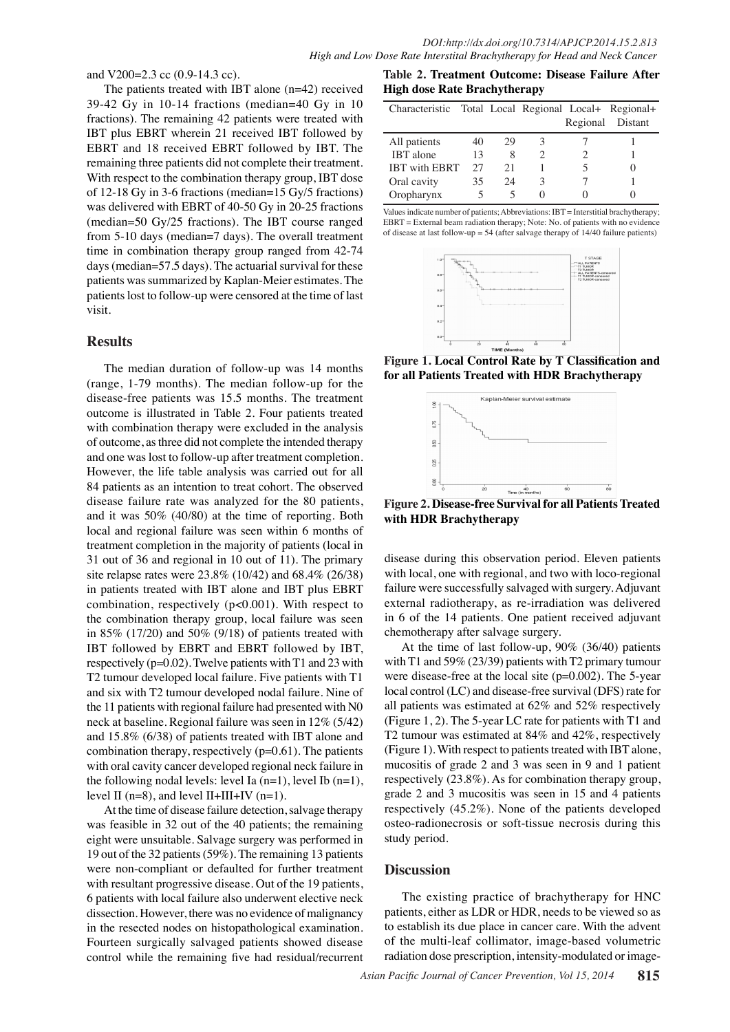and V200=2.3 cc (0.9-14.3 cc).

The patients treated with IBT alone (n=42) received 39-42 Gy in 10-14 fractions (median=40 Gy in 10 fractions). The remaining 42 patients were treated with IBT plus EBRT wherein 21 received IBT followed by EBRT and 18 received EBRT followed by IBT. The remaining three patients did not complete their treatment. With respect to the combination therapy group, IBT dose of 12-18 Gy in 3-6 fractions (median=15 Gy/5 fractions) was delivered with EBRT of 40-50 Gy in 20-25 fractions (median=50 Gy/25 fractions). The IBT course ranged from 5-10 days (median=7 days). The overall treatment time in combination therapy group ranged from 42-74 days (median=57.5 days). The actuarial survival for these patients was summarized by Kaplan-Meier estimates. The patients lost to follow-up were censored at the time of last visit.

### **Results**

The median duration of follow-up was 14 months (range, 1-79 months). The median follow-up for the disease-free patients was 15.5 months. The treatment outcome is illustrated in Table 2. Four patients treated with combination therapy were excluded in the analysis of outcome, as three did not complete the intended therapy and one was lost to follow-up after treatment completion. However, the life table analysis was carried out for all 84 patients as an intention to treat cohort. The observed disease failure rate was analyzed for the 80 patients, and it was 50% (40/80) at the time of reporting. Both local and regional failure was seen within 6 months of treatment completion in the majority of patients (local in 31 out of 36 and regional in 10 out of 11). The primary site relapse rates were 23.8% (10/42) and 68.4% (26/38) in patients treated with IBT alone and IBT plus EBRT combination, respectively (p<0.001). With respect to the combination therapy group, local failure was seen in 85% (17/20) and 50% (9/18) of patients treated with IBT followed by EBRT and EBRT followed by IBT, respectively (p=0.02). Twelve patients with T1 and 23 with T2 tumour developed local failure. Five patients with T1 and six with T2 tumour developed nodal failure. Nine of the 11 patients with regional failure had presented with N0 neck at baseline. Regional failure was seen in 12% (5/42) and 15.8% (6/38) of patients treated with IBT alone and combination therapy, respectively  $(p=0.61)$ . The patients with oral cavity cancer developed regional neck failure in the following nodal levels: level Ia  $(n=1)$ , level Ib  $(n=1)$ , level II ( $n=8$ ), and level II+III+IV ( $n=1$ ).

At the time of disease failure detection, salvage therapy was feasible in 32 out of the 40 patients; the remaining eight were unsuitable. Salvage surgery was performed in 19 out of the 32 patients (59%). The remaining 13 patients were non-compliant or defaulted for further treatment with resultant progressive disease. Out of the 19 patients, 6 patients with local failure also underwent elective neck dissection. However, there was no evidence of malignancy in the resected nodes on histopathological examination. Fourteen surgically salvaged patients showed disease control while the remaining five had residual/recurrent

**Table 2. Treatment Outcome: Disease Failure After High dose Rate Brachytherapy** 

| Characteristic Total Local Regional Local+ Regional+ |    |    |              |                  |
|------------------------------------------------------|----|----|--------------|------------------|
|                                                      |    |    |              | Regional Distant |
| All patients                                         | 40 | 29 |              |                  |
| <b>IBT</b> alone                                     | 13 | 8  |              |                  |
| <b>IBT</b> with EBRT                                 | 27 | 21 |              |                  |
| Oral cavity                                          | 35 | 24 | 3            |                  |
| Oropharynx                                           |    |    | $\mathbf{O}$ |                  |

Values indicate number of patients; Abbreviations: IBT = Interstitial brachytherapy; EBRT = External beam radiation therapy; Note: No. of patients with no evidence of disease at last follow-up = 54 (after salvage therapy of 14/40 failure patients)



**Figure 1. Local Control Rate by T Classification and for all Patients Treated with HDR Brachytherapy**



**Figure 2. Disease-free Survival for all Patients Treated with HDR Brachytherapy**

disease during this observation period. Eleven patients with local, one with regional, and two with loco-regional failure were successfully salvaged with surgery. Adjuvant external radiotherapy, as re-irradiation was delivered in 6 of the 14 patients. One patient received adjuvant chemotherapy after salvage surgery.

At the time of last follow-up, 90% (36/40) patients with T1 and 59% (23/39) patients with T2 primary tumour were disease-free at the local site (p=0.002). The 5-year local control (LC) and disease-free survival (DFS) rate for all patients was estimated at 62% and 52% respectively (Figure 1, 2). The 5-year LC rate for patients with T1 and T2 tumour was estimated at 84% and 42%, respectively (Figure 1). With respect to patients treated with IBT alone, mucositis of grade 2 and 3 was seen in 9 and 1 patient respectively (23.8%). As for combination therapy group, grade 2 and 3 mucositis was seen in 15 and 4 patients respectively (45.2%). None of the patients developed osteo-radionecrosis or soft-tissue necrosis during this study period.

#### **Discussion**

The existing practice of brachytherapy for HNC patients, either as LDR or HDR, needs to be viewed so as to establish its due place in cancer care. With the advent of the multi-leaf collimator, image-based volumetric radiation dose prescription, intensity-modulated or image-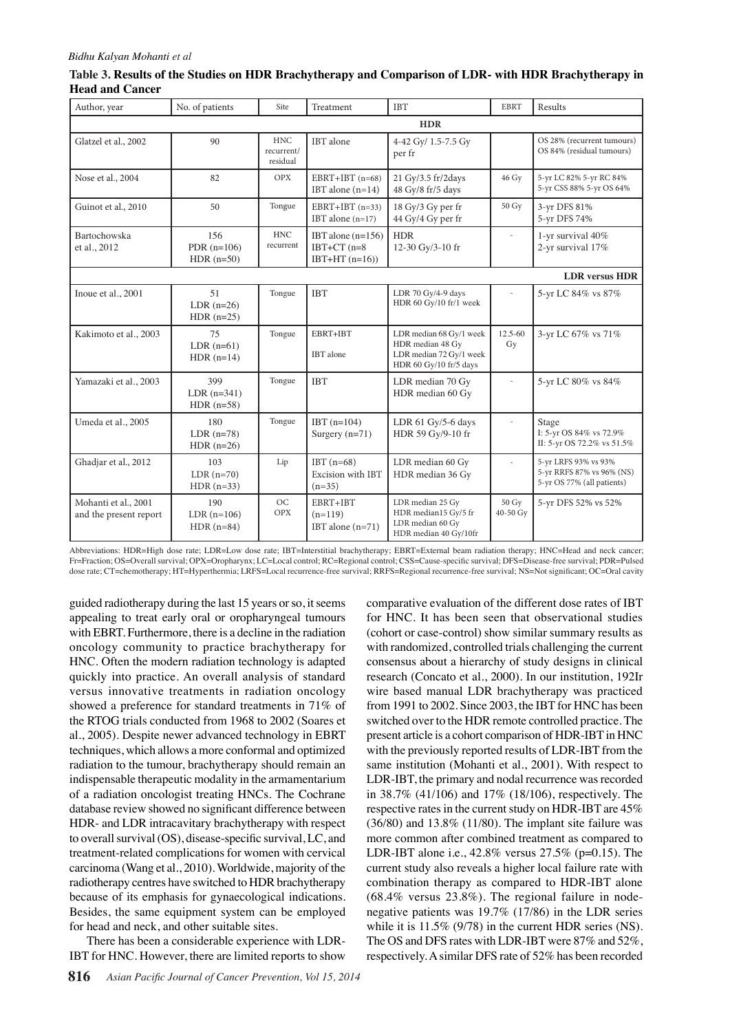#### *Bidhu Kalyan Mohanti et al*

| Table 3. Results of the Studies on HDR Brachytherapy and Comparison of LDR- with HDR Brachytherapy in |  |  |
|-------------------------------------------------------------------------------------------------------|--|--|
| <b>Head and Cancer</b>                                                                                |  |  |

| Author, year                                   | No. of patients                       | Site                                 | Treatment                                                | <b>IBT</b>                                                                                       | <b>EBRT</b>       | Results                                                                         |
|------------------------------------------------|---------------------------------------|--------------------------------------|----------------------------------------------------------|--------------------------------------------------------------------------------------------------|-------------------|---------------------------------------------------------------------------------|
| <b>HDR</b>                                     |                                       |                                      |                                                          |                                                                                                  |                   |                                                                                 |
| Glatzel et al., 2002                           | 90                                    | <b>HNC</b><br>recurrent/<br>residual | IBT alone                                                | 4-42 Gy/ 1.5-7.5 Gy<br>per fr                                                                    |                   | OS 28% (recurrent tumours)<br>OS 84% (residual tumours)                         |
| Nose et al., 2004                              | 82                                    | <b>OPX</b>                           | $EBRT+IBT$ (n=68)<br>IBT alone $(n=14)$                  | 21 Gy/3.5 fr/2days<br>48 Gy/8 fr/5 days                                                          | 46 Gy             | 5-yr LC 82% 5-yr RC 84%<br>5-yr CSS 88% 5-yr OS 64%                             |
| Guinot et al., 2010                            | 50                                    | Tongue                               | $EBRT+IBT (n=33)$<br>IBT alone $(n=17)$                  | 18 Gy/3 Gy per fr<br>44 Gy/4 Gy per fr                                                           | 50 Gy             | 3-yr DFS 81%<br>5-yr DFS 74%                                                    |
| Bartochowska<br>et al., 2012                   | 156<br>PDR $(n=106)$<br>HDR $(n=50)$  | <b>HNC</b><br>recurrent              | IBT alone $(n=156)$<br>IBT+CT $(n=8)$<br>$IBT+HT (n=16)$ | <b>HDR</b><br>12-30 Gy/3-10 fr                                                                   | $\bar{a}$         | 1-yr survival 40%<br>2-yr survival 17%                                          |
|                                                |                                       |                                      |                                                          |                                                                                                  |                   | <b>LDR</b> versus <b>HDR</b>                                                    |
| Inoue et al., 2001                             | 51<br>LDR $(n=26)$<br>HDR $(n=25)$    | Tongue                               | <b>IBT</b>                                               | LDR 70 Gy/4-9 days<br>HDR 60 Gy/10 fr/1 week                                                     |                   | 5-yr LC 84% vs 87%                                                              |
| Kakimoto et al., 2003                          | 75<br>$LDR$ ( $n=61$ )<br>$HDR(n=14)$ | Tongue                               | EBRT+IBT<br>IBT alone                                    | LDR median 68 Gy/1 week<br>HDR median 48 Gy<br>LDR median 72 Gy/1 week<br>HDR 60 Gy/10 fr/5 days | 12.5-60<br>Gy     | 3-yr LC 67% vs 71%                                                              |
| Yamazaki et al., 2003                          | 399<br>$LDR(n=341)$<br>HDR $(n=58)$   | Tongue                               | <b>IBT</b>                                               | LDR median 70 Gy<br>HDR median 60 Gy                                                             |                   | 5-yr LC 80% vs 84%                                                              |
| Umeda et al., 2005                             | 180<br>LDR $(n=78)$<br>HDR $(n=26)$   | Tongue                               | $IBT(n=104)$<br>Surgery $(n=71)$                         | LDR $61$ Gy/5-6 days<br>HDR 59 Gy/9-10 fr                                                        | ÷,                | Stage<br>I: 5-yr OS 84% vs 72.9%<br>II: 5-yr OS 72.2% vs 51.5%                  |
| Ghadjar et al., 2012                           | 103<br>$LDR(n=70)$<br>$HDR(n=33)$     | Lip                                  | IBT $(n=68)$<br>Excision with IBT<br>$(n=35)$            | LDR median 60 Gy<br>HDR median 36 Gy                                                             | L.                | 5-yr LRFS 93% vs 93%<br>5-yr RRFS 87% vs 96% (NS)<br>5-yr OS 77% (all patients) |
| Mohanti et al., 2001<br>and the present report | 190<br>$LDR(n=106)$<br>$HDR(n=84)$    | OC<br><b>OPX</b>                     | EBRT+IBT<br>$(n=119)$<br>IBT alone $(n=71)$              | LDR median 25 Gy<br>HDR median15 Gy/5 fr<br>LDR median 60 Gy<br>HDR median 40 Gy/10fr            | 50 Gy<br>40-50 Gy | 5-yr DFS 52% vs 52%                                                             |

Abbreviations: HDR=High dose rate; LDR=Low dose rate; IBT=Interstitial brachytherapy; EBRT=External beam radiation therapy; HNC=Head and neck cancer; Fr=Fraction; OS=Overall survival; OPX=Oropharynx; LC=Local control; RC=Regional control; CSS=Cause-specific survival; DFS=Disease-free survival; PDR=Pulsed dose rate; CT=chemotherapy; HT=Hyperthermia; LRFS=Local recurrence-free survival; RRFS=Regional recurrence-free survival; NS=Not significant; OC=Oral cavity

guided radiotherapy during the last 15 years or so, it seems appealing to treat early oral or oropharyngeal tumours with EBRT. Furthermore, there is a decline in the radiation oncology community to practice brachytherapy for HNC. Often the modern radiation technology is adapted quickly into practice. An overall analysis of standard versus innovative treatments in radiation oncology showed a preference for standard treatments in 71% of the RTOG trials conducted from 1968 to 2002 (Soares et al., 2005). Despite newer advanced technology in EBRT techniques, which allows a more conformal and optimized radiation to the tumour, brachytherapy should remain an indispensable therapeutic modality in the armamentarium of a radiation oncologist treating HNCs. The Cochrane database review showed no significant difference between HDR- and LDR intracavitary brachytherapy with respect to overall survival (OS), disease-specific survival, LC, and treatment-related complications for women with cervical carcinoma (Wang et al., 2010). Worldwide, majority of the radiotherapy centres have switched to HDR brachytherapy because of its emphasis for gynaecological indications. Besides, the same equipment system can be employed for head and neck, and other suitable sites.

There has been a considerable experience with LDR-IBT for HNC. However, there are limited reports to show comparative evaluation of the different dose rates of IBT for HNC. It has been seen that observational studies (cohort or case-control) show similar summary results as with randomized, controlled trials challenging the current consensus about a hierarchy of study designs in clinical research (Concato et al., 2000). In our institution, 192Ir wire based manual LDR brachytherapy was practiced from 1991 to 2002. Since 2003, the IBT for HNC has been switched over to the HDR remote controlled practice. The present article is a cohort comparison of HDR-IBT in HNC with the previously reported results of LDR-IBT from the same institution (Mohanti et al., 2001). With respect to LDR-IBT, the primary and nodal recurrence was recorded in 38.7% (41/106) and 17% (18/106), respectively. The respective rates in the current study on HDR-IBT are 45% (36/80) and 13.8% (11/80). The implant site failure was more common after combined treatment as compared to LDR-IBT alone i.e., 42.8% versus 27.5% (p=0.15). The current study also reveals a higher local failure rate with combination therapy as compared to HDR-IBT alone  $(68.4\%$  versus  $23.8\%)$ . The regional failure in nodenegative patients was 19.7% (17/86) in the LDR series while it is 11.5% (9/78) in the current HDR series (NS). The OS and DFS rates with LDR-IBT were 87% and 52%, respectively. A similar DFS rate of 52% has been recorded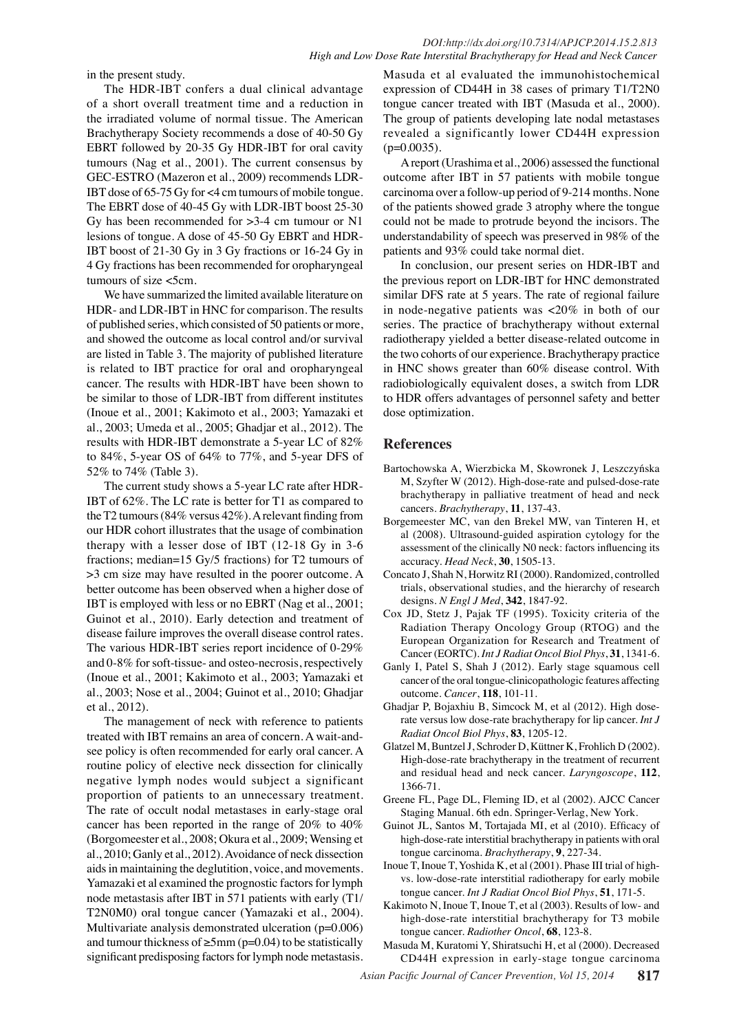in the present study.

The HDR-IBT confers a dual clinical advantage of a short overall treatment time and a reduction in the irradiated volume of normal tissue. The American Brachytherapy Society recommends a dose of 40-50 Gy EBRT followed by 20-35 Gy HDR-IBT for oral cavity tumours (Nag et al., 2001). The current consensus by GEC-ESTRO (Mazeron et al., 2009) recommends LDR-IBT dose of 65-75 Gy for <4 cm tumours of mobile tongue. The EBRT dose of 40-45 Gy with LDR-IBT boost 25-30 Gy has been recommended for >3-4 cm tumour or N1 lesions of tongue. A dose of 45-50 Gy EBRT and HDR-IBT boost of 21-30 Gy in 3 Gy fractions or 16-24 Gy in 4 Gy fractions has been recommended for oropharyngeal tumours of size <5cm.

We have summarized the limited available literature on HDR- and LDR-IBT in HNC for comparison. The results of published series, which consisted of 50 patients or more, and showed the outcome as local control and/or survival are listed in Table 3. The majority of published literature is related to IBT practice for oral and oropharyngeal cancer. The results with HDR-IBT have been shown to be similar to those of LDR-IBT from different institutes (Inoue et al., 2001; Kakimoto et al., 2003; Yamazaki et al., 2003; Umeda et al., 2005; Ghadjar et al., 2012). The results with HDR-IBT demonstrate a 5-year LC of 82% to 84%, 5-year OS of 64% to 77%, and 5-year DFS of 52% to 74% (Table 3).

The current study shows a 5-year LC rate after HDR-IBT of 62%. The LC rate is better for T1 as compared to the T2 tumours (84% versus 42%). A relevant finding from our HDR cohort illustrates that the usage of combination therapy with a lesser dose of IBT (12-18 Gy in 3-6 fractions; median=15 Gy/5 fractions) for T2 tumours of >3 cm size may have resulted in the poorer outcome. A better outcome has been observed when a higher dose of IBT is employed with less or no EBRT (Nag et al., 2001; Guinot et al., 2010). Early detection and treatment of disease failure improves the overall disease control rates. The various HDR-IBT series report incidence of 0-29% and 0-8% for soft-tissue- and osteo-necrosis, respectively (Inoue et al., 2001; Kakimoto et al., 2003; Yamazaki et al., 2003; Nose et al., 2004; Guinot et al., 2010; Ghadjar et al., 2012).

The management of neck with reference to patients treated with IBT remains an area of concern. A wait-andsee policy is often recommended for early oral cancer. A routine policy of elective neck dissection for clinically negative lymph nodes would subject a significant proportion of patients to an unnecessary treatment. The rate of occult nodal metastases in early-stage oral cancer has been reported in the range of 20% to 40% (Borgomeester et al., 2008; Okura et al., 2009; Wensing et al., 2010; Ganly et al., 2012). Avoidance of neck dissection aids in maintaining the deglutition, voice, and movements. Yamazaki et al examined the prognostic factors for lymph node metastasis after IBT in 571 patients with early (T1/ T2N0M0) oral tongue cancer (Yamazaki et al., 2004). Multivariate analysis demonstrated ulceration (p=0.006) and tumour thickness of  $\geq 5$ mm (p=0.04) to be statistically significant predisposing factors for lymph node metastasis.

Masuda et al evaluated the immunohistochemical expression of CD44H in 38 cases of primary T1/T2N0 tongue cancer treated with IBT (Masuda et al., 2000). The group of patients developing late nodal metastases revealed a significantly lower CD44H expression  $(p=0.0035)$ .

A report (Urashima et al., 2006) assessed the functional outcome after IBT in 57 patients with mobile tongue carcinoma over a follow-up period of 9-214 months. None of the patients showed grade 3 atrophy where the tongue could not be made to protrude beyond the incisors. The understandability of speech was preserved in 98% of the patients and 93% could take normal diet.

In conclusion, our present series on HDR-IBT and the previous report on LDR-IBT for HNC demonstrated similar DFS rate at 5 years. The rate of regional failure in node-negative patients was <20% in both of our series. The practice of brachytherapy without external radiotherapy yielded a better disease-related outcome in the two cohorts of our experience. Brachytherapy practice in HNC shows greater than 60% disease control. With radiobiologically equivalent doses, a switch from LDR to HDR offers advantages of personnel safety and better dose optimization.

#### **References**

- Bartochowska A, Wierzbicka M, Skowronek J, Leszczyńska M, Szyfter W (2012). High-dose-rate and pulsed-dose-rate brachytherapy in palliative treatment of head and neck cancers. *Brachytherapy*, **11**, 137-43.
- Borgemeester MC, van den Brekel MW, van Tinteren H, et al (2008). Ultrasound-guided aspiration cytology for the assessment of the clinically N0 neck: factors influencing its accuracy. *Head Neck*, **30**, 1505-13.
- Concato J, Shah N, Horwitz RI (2000). Randomized, controlled trials, observational studies, and the hierarchy of research designs. *N Engl J Med*, **342**, 1847-92.
- Cox JD, Stetz J, Pajak TF (1995). Toxicity criteria of the Radiation Therapy Oncology Group (RTOG) and the European Organization for Research and Treatment of Cancer (EORTC). *Int J Radiat Oncol Biol Phys*, **31**, 1341-6.
- Ganly I, Patel S, Shah J (2012). Early stage squamous cell cancer of the oral tongue-clinicopathologic features affecting outcome. *Cancer*, **118**, 101-11.
- Ghadjar P, Bojaxhiu B, Simcock M, et al (2012). High doserate versus low dose-rate brachytherapy for lip cancer. *Int J Radiat Oncol Biol Phys*, **83**, 1205-12.
- Glatzel M, Buntzel J, Schroder D, Küttner K, Frohlich D (2002). High-dose-rate brachytherapy in the treatment of recurrent and residual head and neck cancer. *Laryngoscope*, **112**, 1366-71.
- Greene FL, Page DL, Fleming ID, et al (2002). AJCC Cancer Staging Manual. 6th edn. Springer-Verlag, New York.
- Guinot JL, Santos M, Tortajada MI, et al (2010). Efficacy of high-dose-rate interstitial brachytherapy in patients with oral tongue carcinoma. *Brachytherapy*, **9**, 227-34.
- Inoue T, Inoue T, Yoshida K, et al (2001). Phase III trial of highvs. low-dose-rate interstitial radiotherapy for early mobile tongue cancer. *Int J Radiat Oncol Biol Phys*, **51**, 171-5.
- Kakimoto N, Inoue T, Inoue T, et al (2003). Results of low- and high-dose-rate interstitial brachytherapy for T3 mobile tongue cancer. *Radiother Oncol*, **68**, 123-8.

Masuda M, Kuratomi Y, Shiratsuchi H, et al (2000). Decreased CD44H expression in early-stage tongue carcinoma